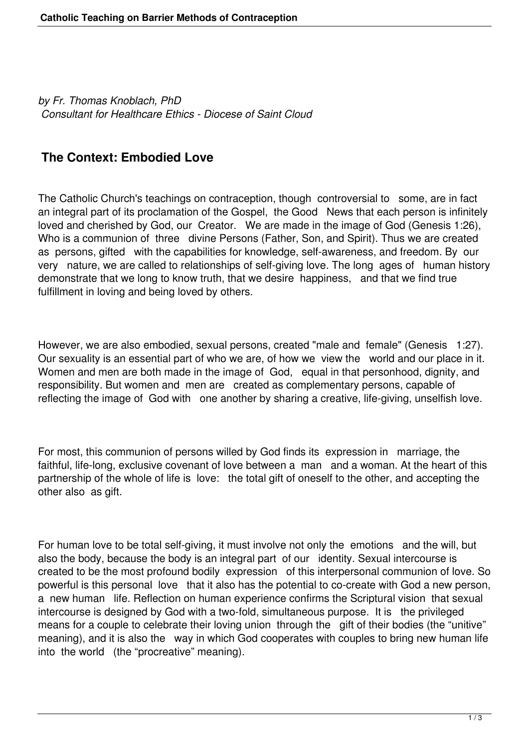*by Fr. Thomas Knoblach, PhD Consultant for Healthcare Ethics - Diocese of Saint Cloud*

## **The Context: Embodied Love**

The Catholic Church's teachings on contraception, though controversial to some, are in fact an integral part of its proclamation of the Gospel, the Good News that each person is infinitely loved and cherished by God, our Creator. We are made in the image of God (Genesis 1:26), Who is a communion of three divine Persons (Father, Son, and Spirit). Thus we are created as persons, gifted with the capabilities for knowledge, self-awareness, and freedom. By our very nature, we are called to relationships of self-giving love. The long ages of human history demonstrate that we long to know truth, that we desire happiness, and that we find true fulfillment in loving and being loved by others.

However, we are also embodied, sexual persons, created "male and female" (Genesis 1:27). Our sexuality is an essential part of who we are, of how we view the world and our place in it. Women and men are both made in the image of God, equal in that personhood, dignity, and responsibility. But women and men are created as complementary persons, capable of reflecting the image of God with one another by sharing a creative, life-giving, unselfish love.

For most, this communion of persons willed by God finds its expression in marriage, the faithful, life-long, exclusive covenant of love between a man and a woman. At the heart of this partnership of the whole of life is love: the total gift of oneself to the other, and accepting the other also as gift.

For human love to be total self-giving, it must involve not only the emotions and the will, but also the body, because the body is an integral part of our identity. Sexual intercourse is created to be the most profound bodily expression of this interpersonal communion of love. So powerful is this personal love that it also has the potential to co-create with God a new person, a new human life. Reflection on human experience confirms the Scriptural vision that sexual intercourse is designed by God with a two-fold, simultaneous purpose. It is the privileged means for a couple to celebrate their loving union through the gift of their bodies (the "unitive" meaning), and it is also the way in which God cooperates with couples to bring new human life into the world (the "procreative" meaning).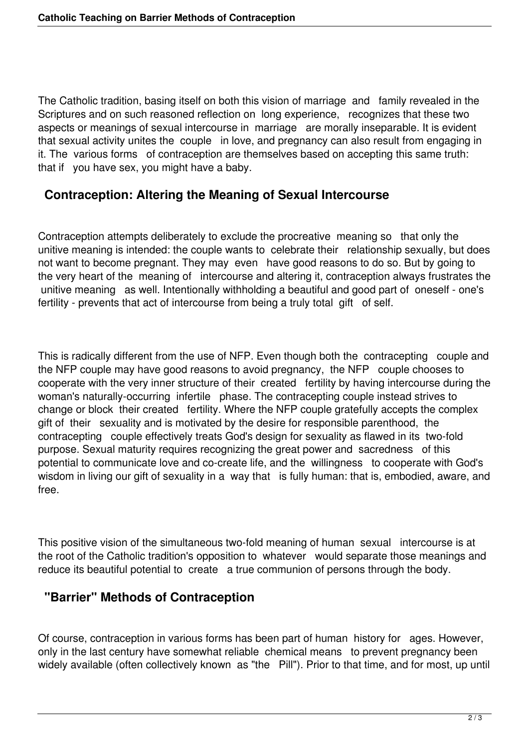The Catholic tradition, basing itself on both this vision of marriage and family revealed in the Scriptures and on such reasoned reflection on long experience, recognizes that these two aspects or meanings of sexual intercourse in marriage are morally inseparable. It is evident that sexual activity unites the couple in love, and pregnancy can also result from engaging in it. The various forms of contraception are themselves based on accepting this same truth: that if you have sex, you might have a baby.

## **Contraception: Altering the Meaning of Sexual Intercourse**

Contraception attempts deliberately to exclude the procreative meaning so that only the unitive meaning is intended: the couple wants to celebrate their relationship sexually, but does not want to become pregnant. They may even have good reasons to do so. But by going to the very heart of the meaning of intercourse and altering it, contraception always frustrates the unitive meaning as well. Intentionally withholding a beautiful and good part of oneself - one's fertility - prevents that act of intercourse from being a truly total gift of self.

This is radically different from the use of NFP. Even though both the contracepting couple and the NFP couple may have good reasons to avoid pregnancy, the NFP couple chooses to cooperate with the very inner structure of their created fertility by having intercourse during the woman's naturally-occurring infertile phase. The contracepting couple instead strives to change or block their created fertility. Where the NFP couple gratefully accepts the complex gift of their sexuality and is motivated by the desire for responsible parenthood, the contracepting couple effectively treats God's design for sexuality as flawed in its two-fold purpose. Sexual maturity requires recognizing the great power and sacredness of this potential to communicate love and co-create life, and the willingness to cooperate with God's wisdom in living our gift of sexuality in a way that is fully human: that is, embodied, aware, and free.

This positive vision of the simultaneous two-fold meaning of human sexual intercourse is at the root of the Catholic tradition's opposition to whatever would separate those meanings and reduce its beautiful potential to create a true communion of persons through the body.

## **"Barrier" Methods of Contraception**

Of course, contraception in various forms has been part of human history for ages. However, only in the last century have somewhat reliable chemical means to prevent pregnancy been widely available (often collectively known as "the Pill"). Prior to that time, and for most, up until